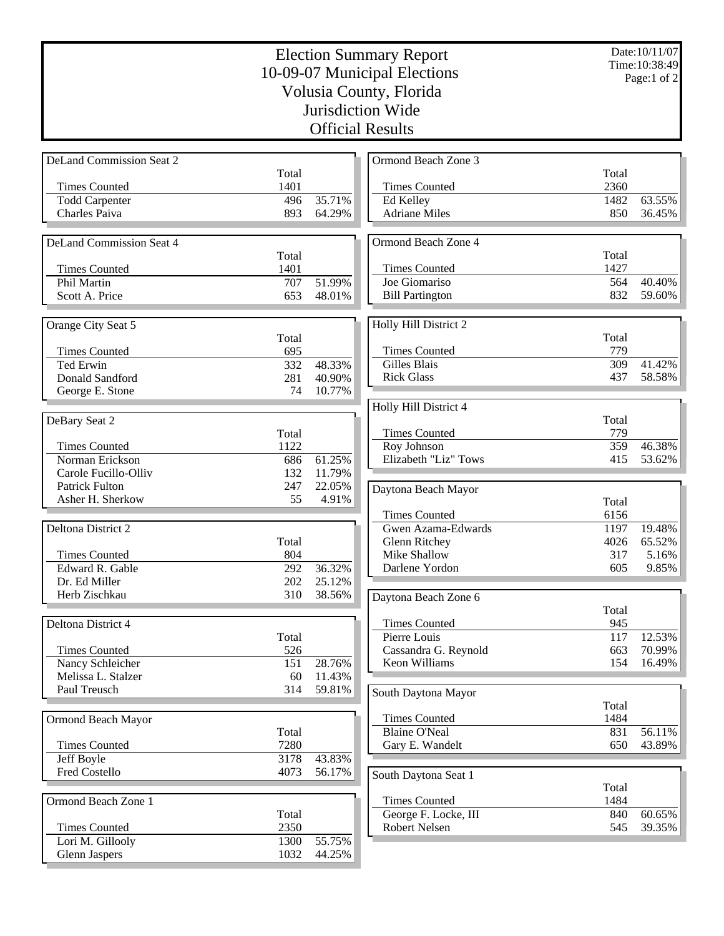| <b>Election Summary Report</b><br>10-09-07 Municipal Elections |              |                  |                                     | Date: 10/11/07<br>Time: 10:38:49 |                  |
|----------------------------------------------------------------|--------------|------------------|-------------------------------------|----------------------------------|------------------|
|                                                                |              |                  |                                     |                                  | Page:1 of 2      |
|                                                                |              |                  | Volusia County, Florida             |                                  |                  |
|                                                                |              |                  | Jurisdiction Wide                   |                                  |                  |
|                                                                |              |                  | <b>Official Results</b>             |                                  |                  |
|                                                                |              |                  |                                     |                                  |                  |
| <b>DeLand Commission Seat 2</b>                                |              |                  | Ormond Beach Zone 3                 |                                  |                  |
|                                                                | Total        |                  |                                     | Total                            |                  |
| <b>Times Counted</b>                                           | 1401         |                  | <b>Times Counted</b>                | 2360                             |                  |
| <b>Todd Carpenter</b><br>Charles Paiva                         | 496<br>893   | 35.71%<br>64.29% | Ed Kelley<br><b>Adriane Miles</b>   | 1482<br>850                      | 63.55%<br>36.45% |
|                                                                |              |                  |                                     |                                  |                  |
| <b>DeLand Commission Seat 4</b>                                |              |                  | Ormond Beach Zone 4                 |                                  |                  |
|                                                                | Total        |                  |                                     | Total                            |                  |
| <b>Times Counted</b>                                           | 1401         |                  | <b>Times Counted</b>                | 1427                             |                  |
| Phil Martin                                                    | 707          | 51.99%           | Joe Giomariso                       | 564                              | 40.40%           |
| Scott A. Price                                                 | 653          | 48.01%           | <b>Bill Partington</b>              | 832                              | 59.60%           |
|                                                                |              |                  |                                     |                                  |                  |
| Orange City Seat 5                                             | Total        |                  | Holly Hill District 2               | Total                            |                  |
| <b>Times Counted</b>                                           | 695          |                  | <b>Times Counted</b>                | 779                              |                  |
| <b>Ted Erwin</b>                                               | 332          | 48.33%           | Gilles Blais                        | 309                              | 41.42%           |
| Donald Sandford                                                | 281          | 40.90%           | <b>Rick Glass</b>                   | 437                              | 58.58%           |
| George E. Stone                                                | 74           | 10.77%           |                                     |                                  |                  |
|                                                                |              |                  | Holly Hill District 4               |                                  |                  |
| DeBary Seat 2                                                  |              |                  |                                     | Total                            |                  |
|                                                                | Total        |                  | <b>Times Counted</b>                | 779<br>359                       | 46.38%           |
| <b>Times Counted</b><br>Norman Erickson                        | 1122<br>686  | 61.25%           | Roy Johnson<br>Elizabeth "Liz" Tows | 415                              | 53.62%           |
| Carole Fucillo-Olliv                                           | 132          | 11.79%           |                                     |                                  |                  |
| <b>Patrick Fulton</b>                                          | 247          | 22.05%           | Daytona Beach Mayor                 |                                  |                  |
| Asher H. Sherkow                                               | 55           | 4.91%            |                                     | Total                            |                  |
|                                                                |              |                  | <b>Times Counted</b>                | 6156                             |                  |
| <b>Deltona District 2</b>                                      |              |                  | Gwen Azama-Edwards                  | 1197                             | 19.48%           |
|                                                                | Total        |                  | Glenn Ritchey                       | 4026                             | 65.52%           |
| <b>Times Counted</b>                                           | 804          |                  | Mike Shallow                        | 317                              | 5.16%            |
| Edward R. Gable<br>Dr. Ed Miller                               | 292<br>202   | 36.32%<br>25.12% | Darlene Yordon                      | 605                              | 9.85%            |
| Herb Zischkau                                                  | 310          | 38.56%           |                                     |                                  |                  |
|                                                                |              |                  | Daytona Beach Zone 6                | Total                            |                  |
| Deltona District 4                                             |              |                  | <b>Times Counted</b>                | 945                              |                  |
|                                                                | Total        |                  | Pierre Louis                        | 117                              | 12.53%           |
| <b>Times Counted</b>                                           | 526          |                  | Cassandra G. Reynold                | 663                              | 70.99%           |
| Nancy Schleicher                                               | 151          | 28.76%           | <b>Keon Williams</b>                | 154                              | 16.49%           |
| Melissa L. Stalzer                                             | 60           | 11.43%           |                                     |                                  |                  |
| Paul Treusch                                                   | 314          | 59.81%           | South Daytona Mayor                 |                                  |                  |
|                                                                |              |                  | <b>Times Counted</b>                | Total<br>1484                    |                  |
| Ormond Beach Mayor                                             | Total        |                  | <b>Blaine O'Neal</b>                | 831                              | 56.11%           |
| <b>Times Counted</b>                                           | 7280         |                  | Gary E. Wandelt                     | 650                              | 43.89%           |
| Jeff Boyle                                                     | 3178         | 43.83%           |                                     |                                  |                  |
| Fred Costello                                                  | 4073         | 56.17%           | South Daytona Seat 1                |                                  |                  |
|                                                                |              |                  |                                     | Total                            |                  |
| Ormond Beach Zone 1                                            |              |                  | <b>Times Counted</b>                | 1484                             |                  |
|                                                                | Total        |                  | George F. Locke, III                | 840                              | 60.65%           |
| <b>Times Counted</b>                                           | 2350         |                  | Robert Nelsen                       | 545                              | 39.35%           |
| Lori M. Gillooly<br><b>Glenn Jaspers</b>                       | 1300<br>1032 | 55.75%<br>44.25% |                                     |                                  |                  |
|                                                                |              |                  |                                     |                                  |                  |